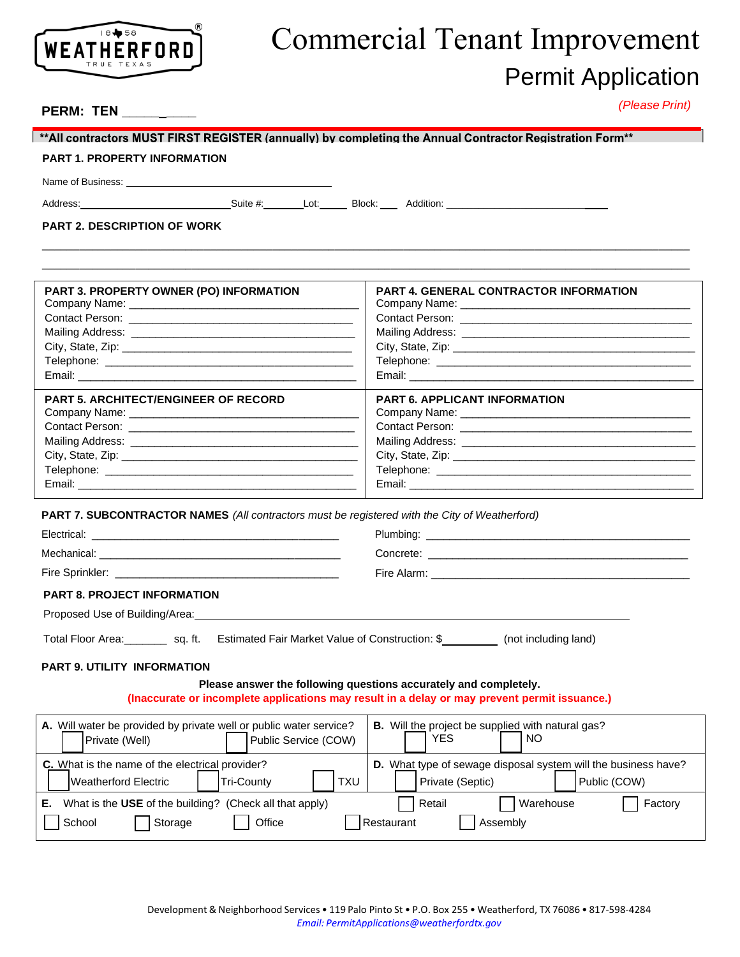

# Commercial Tenant Improvement Permit Application

## **PERM: TEN \_\_\_\_\_\_\_\_\_\_**

*(Please Print)*

#### \*\*All contractors MUST FIRST REGISTER (annually) by completing the Annual Contractor Registration Form\*\*

### **PART 1. PROPERTY INFORMATION**

Name of Business:

Address: \_\_\_\_\_\_\_\_\_\_\_\_\_\_\_\_\_\_\_\_\_\_\_\_\_\_\_Suite #: Lot: Block: Addition: \_\_\_\_\_\_\_\_\_\_\_\_\_\_\_\_\_\_\_\_\_\_\_\_\_\_\_\_\_

\_\_\_\_\_\_\_\_\_\_\_\_\_\_\_\_\_\_\_\_\_\_\_\_\_\_\_\_\_\_\_\_\_\_\_\_\_\_\_\_\_\_\_\_\_\_\_\_\_\_\_\_\_\_\_\_\_\_\_\_\_\_\_\_\_\_\_\_\_\_\_\_\_\_\_\_\_\_\_\_\_\_\_\_\_\_\_\_\_\_\_\_\_\_\_\_\_\_\_\_\_\_\_\_ \_\_\_\_\_\_\_\_\_\_\_\_\_\_\_\_\_\_\_\_\_\_\_\_\_\_\_\_\_\_\_\_\_\_\_\_\_\_\_\_\_\_\_\_\_\_\_\_\_\_\_\_\_\_\_\_\_\_\_\_\_\_\_\_\_\_\_\_\_\_\_\_\_\_\_\_\_\_\_\_\_\_\_\_\_\_\_\_\_\_\_\_\_\_\_\_\_\_\_\_\_\_\_\_

**PART 2. DESCRIPTION OF WORK**

| <b>PART 3. PROPERTY OWNER (PO) INFORMATION</b>                                                                      | <b>PART 4. GENERAL CONTRACTOR INFORMATION</b>                                                                                                                                                                                  |
|---------------------------------------------------------------------------------------------------------------------|--------------------------------------------------------------------------------------------------------------------------------------------------------------------------------------------------------------------------------|
| Company Name: Name and Second Company Name and Second Company Name and Second Company of the Company of the Co      |                                                                                                                                                                                                                                |
|                                                                                                                     |                                                                                                                                                                                                                                |
|                                                                                                                     |                                                                                                                                                                                                                                |
|                                                                                                                     |                                                                                                                                                                                                                                |
|                                                                                                                     |                                                                                                                                                                                                                                |
|                                                                                                                     |                                                                                                                                                                                                                                |
| <b>PART 5. ARCHITECT/ENGINEER OF RECORD</b>                                                                         | <b>PART 6. APPLICANT INFORMATION</b>                                                                                                                                                                                           |
| Company Name: Name: Name and South Assembly Name and South Assembly Name and South Assembly Name and South Assembly | Company Name: Name: Name and Separate and Separate and Separate and Separate and Separate and Separate and Separate and Separate and Separate and Separate and Separate and Separate and Separate and Separate and Separate an |
|                                                                                                                     |                                                                                                                                                                                                                                |
|                                                                                                                     |                                                                                                                                                                                                                                |
|                                                                                                                     |                                                                                                                                                                                                                                |
|                                                                                                                     |                                                                                                                                                                                                                                |
|                                                                                                                     |                                                                                                                                                                                                                                |

**PART 7. SUBCONTRACTOR NAMES** *(All contractors must be registered with the City of Weatherford)*

| <b>PART 8. PROJECT INFORMATION</b>                                                                     |  |  |  |  |
|--------------------------------------------------------------------------------------------------------|--|--|--|--|
|                                                                                                        |  |  |  |  |
| Total Floor Area: _ _ _ _ sq. ft. Estimated Fair Market Value of Construction: \$ (not including land) |  |  |  |  |
|                                                                                                        |  |  |  |  |

### **PART 9. UTILITY INFORMATION**

### **Please answer the following questions accurately and completely.**

#### **(Inaccurate or incomplete applications may result in a delay or may prevent permit issuance.)**

| A. Will water be provided by private well or public water service?<br>Private (Well) | Public Service (COW)            | B. Will the project be supplied with natural gas?<br><b>YES</b><br>NO.                             |
|--------------------------------------------------------------------------------------|---------------------------------|----------------------------------------------------------------------------------------------------|
| <b>C.</b> What is the name of the electrical provider?<br>Weatherford Electric       | <b>TXU</b><br><b>Tri-Countv</b> | D. What type of sewage disposal system will the business have?<br>Private (Septic)<br>Public (COW) |
| What is the USE of the building? (Check all that apply)<br>Е.<br>School<br>Storage   | Office                          | Retail<br>Warehouse<br>Factory<br>Restaurant<br>Assembly                                           |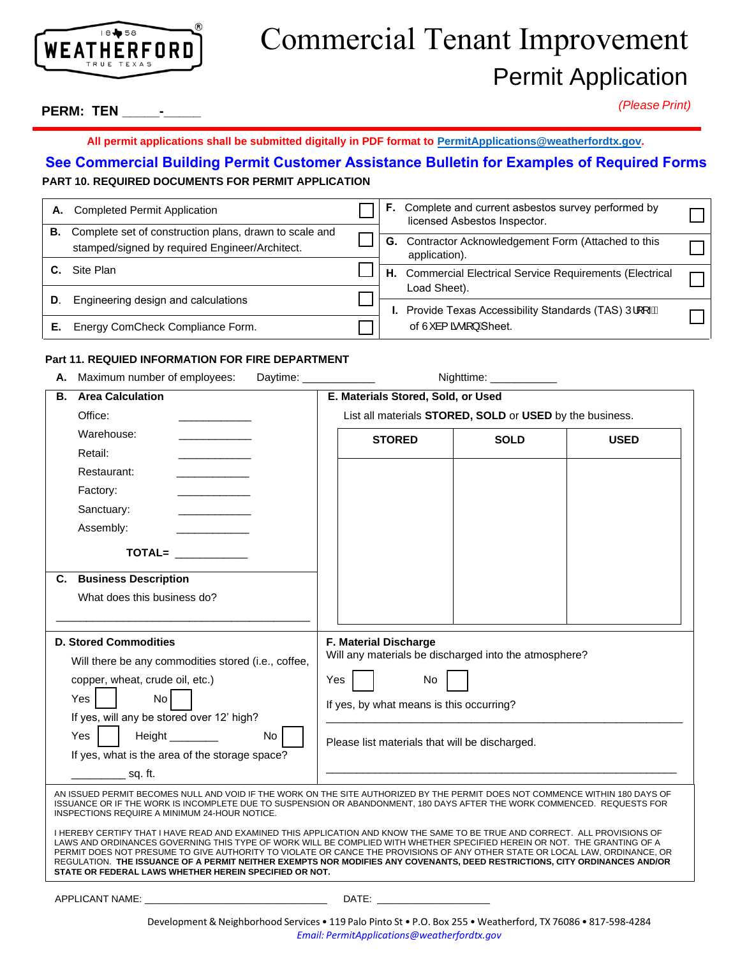

## Commercial Tenant Improvement Permit Application

## **PERM: TEN \_\_\_\_\_-\_\_\_\_\_**

*(Please Print)*

## **All permit applications shall be submitted digitally in PDF format to PermitApplications@weatherfordtx.gov.**

## **PART 10. REQUIRED DOCUMENTS FOR PERMIT APPLICATION See Commercial Building Permit Customer Assistance Bulletin for Examples of Required Forms**

| А. | <b>Completed Permit Application</b>                                                                      | F.                                                                    | Complete and current asbestos survey performed by<br>licensed Asbestos Inspector. |  |
|----|----------------------------------------------------------------------------------------------------------|-----------------------------------------------------------------------|-----------------------------------------------------------------------------------|--|
| В. | Complete set of construction plans, drawn to scale and<br>stamped/signed by required Engineer/Architect. |                                                                       | G. Contractor Acknowledgement Form (Attached to this<br>application).             |  |
|    | Site Plan                                                                                                |                                                                       | H. Commercial Electrical Service Requirements (Electrical                         |  |
| D. | Engineering design and calculations                                                                      | Load Sheet).<br>Provide Texas Accessibility Standards (TAS) Ull [444] |                                                                                   |  |
|    | Energy ComCheck Compliance Form.                                                                         |                                                                       | of Ù à{ $\tilde{a} \cdot \tilde{a}$ } $\tilde{a}$ heet.                           |  |

## **Part 11. REQUIED INFORMATION FOR FIRE DEPARTMENT**

| Maximum number of employees:<br>Daytim |  |
|----------------------------------------|--|
|----------------------------------------|--|

**A.** Maximum number of employees: Daytime: \_\_\_\_\_\_\_\_\_\_\_\_ Nighttime: \_\_\_\_\_\_\_\_\_\_\_

| <b>Area Calculation</b><br>В.                                                                                                                                                                                                                                                                                                                                                                                                                                                                                                                                                  | E. Materials Stored, Sold, or Used                                                                                                                                                                                             |                                                          |             |  |
|--------------------------------------------------------------------------------------------------------------------------------------------------------------------------------------------------------------------------------------------------------------------------------------------------------------------------------------------------------------------------------------------------------------------------------------------------------------------------------------------------------------------------------------------------------------------------------|--------------------------------------------------------------------------------------------------------------------------------------------------------------------------------------------------------------------------------|----------------------------------------------------------|-------------|--|
| Office:                                                                                                                                                                                                                                                                                                                                                                                                                                                                                                                                                                        |                                                                                                                                                                                                                                | List all materials STORED, SOLD or USED by the business. |             |  |
| Warehouse:<br>and the company of the                                                                                                                                                                                                                                                                                                                                                                                                                                                                                                                                           | <b>STORED</b>                                                                                                                                                                                                                  | <b>SOLD</b>                                              | <b>USED</b> |  |
| Retail:                                                                                                                                                                                                                                                                                                                                                                                                                                                                                                                                                                        |                                                                                                                                                                                                                                |                                                          |             |  |
| Restaurant:                                                                                                                                                                                                                                                                                                                                                                                                                                                                                                                                                                    |                                                                                                                                                                                                                                |                                                          |             |  |
| Factory:                                                                                                                                                                                                                                                                                                                                                                                                                                                                                                                                                                       |                                                                                                                                                                                                                                |                                                          |             |  |
| Sanctuary:                                                                                                                                                                                                                                                                                                                                                                                                                                                                                                                                                                     |                                                                                                                                                                                                                                |                                                          |             |  |
| Assembly:                                                                                                                                                                                                                                                                                                                                                                                                                                                                                                                                                                      |                                                                                                                                                                                                                                |                                                          |             |  |
| TOTAL=                                                                                                                                                                                                                                                                                                                                                                                                                                                                                                                                                                         |                                                                                                                                                                                                                                |                                                          |             |  |
| <b>C.</b> Business Description                                                                                                                                                                                                                                                                                                                                                                                                                                                                                                                                                 |                                                                                                                                                                                                                                |                                                          |             |  |
| What does this business do?                                                                                                                                                                                                                                                                                                                                                                                                                                                                                                                                                    |                                                                                                                                                                                                                                |                                                          |             |  |
|                                                                                                                                                                                                                                                                                                                                                                                                                                                                                                                                                                                |                                                                                                                                                                                                                                |                                                          |             |  |
| <b>D. Stored Commodities</b>                                                                                                                                                                                                                                                                                                                                                                                                                                                                                                                                                   | F. Material Discharge                                                                                                                                                                                                          |                                                          |             |  |
| Will there be any commodities stored (i.e., coffee,                                                                                                                                                                                                                                                                                                                                                                                                                                                                                                                            | Will any materials be discharged into the atmosphere?                                                                                                                                                                          |                                                          |             |  |
| copper, wheat, crude oil, etc.)                                                                                                                                                                                                                                                                                                                                                                                                                                                                                                                                                | Yes<br>No                                                                                                                                                                                                                      |                                                          |             |  |
| No<br>Yes                                                                                                                                                                                                                                                                                                                                                                                                                                                                                                                                                                      |                                                                                                                                                                                                                                |                                                          |             |  |
| If yes, will any be stored over 12' high?                                                                                                                                                                                                                                                                                                                                                                                                                                                                                                                                      | If yes, by what means is this occurring?                                                                                                                                                                                       |                                                          |             |  |
| Yes<br>Height ________<br>No                                                                                                                                                                                                                                                                                                                                                                                                                                                                                                                                                   |                                                                                                                                                                                                                                |                                                          |             |  |
| If yes, what is the area of the storage space?                                                                                                                                                                                                                                                                                                                                                                                                                                                                                                                                 | Please list materials that will be discharged.                                                                                                                                                                                 |                                                          |             |  |
| $\equiv$ sq. ft.                                                                                                                                                                                                                                                                                                                                                                                                                                                                                                                                                               |                                                                                                                                                                                                                                |                                                          |             |  |
| AN ISSUED PERMIT BECOMES NULL AND VOID IF THE WORK ON THE SITE AUTHORIZED BY THE PERMIT DOES NOT COMMENCE WITHIN 180 DAYS OF<br>ISSUANCE OR IF THE WORK IS INCOMPLETE DUE TO SUSPENSION OR ABANDONMENT, 180 DAYS AFTER THE WORK COMMENCED. REQUESTS FOR<br>INSPECTIONS REQUIRE A MINIMUM 24-HOUR NOTICE.                                                                                                                                                                                                                                                                       |                                                                                                                                                                                                                                |                                                          |             |  |
| I HEREBY CERTIFY THAT I HAVE READ AND EXAMINED THIS APPLICATION AND KNOW THE SAME TO BE TRUE AND CORRECT. ALL PROVISIONS OF<br>LAWS AND ORDINANCES GOVERNING THIS TYPE OF WORK WILL BE COMPLIED WITH WHETHER SPECIFIED HEREIN OR NOT. THE GRANTING OF A<br>PERMIT DOES NOT PRESUME TO GIVE AUTHORITY TO VIOLATE OR CANCE THE PROVISIONS OF ANY OTHER STATE OR LOCAL LAW, ORDINANCE, OR<br>REGULATION. THE ISSUANCE OF A PERMIT NEITHER EXEMPTS NOR MODIFIES ANY COVENANTS, DEED RESTRICTIONS, CITY ORDINANCES AND/OR<br>STATE OR FEDERAL LAWS WHETHER HEREIN SPECIFIED OR NOT. |                                                                                                                                                                                                                                |                                                          |             |  |
| APPLICANT NAME: A PRODUCT AND A PRODUCT AND A PRODUCT AND A PRODUCT AND A PRODUCT AND A PRODUCT AND A PRODUCT.                                                                                                                                                                                                                                                                                                                                                                                                                                                                 | DATE: the contract of the contract of the contract of the contract of the contract of the contract of the contract of the contract of the contract of the contract of the contract of the contract of the contract of the cont |                                                          |             |  |

Development & Neighborhood Services • 119 Palo Pinto St • P.O. Box 255 • Weatherford, TX 76086 • 817-598-4284 *Email: [PermitApplications@weatherfordtx.gov](mailto:PermitApplications@weatherfordtx.gov)*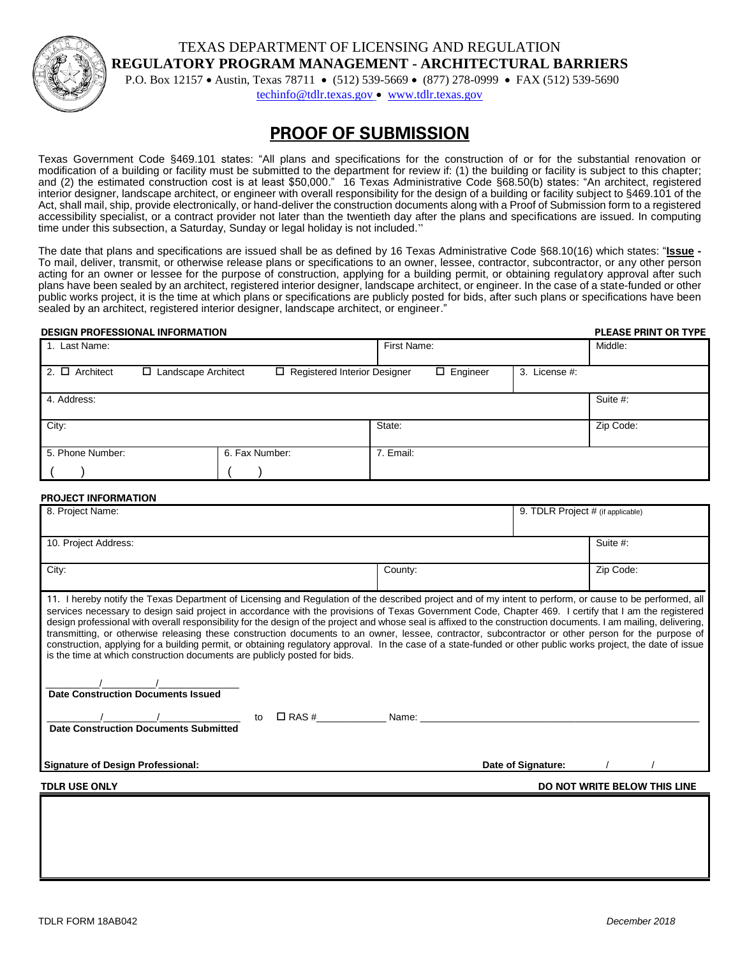TEXAS DEPARTMENT OF LICENSING AND REGULATION **REGULATORY PROGRAM MANAGEMENT - ARCHITECTURAL BARRIERS**



P.O. Box 12157 • Austin, Texas 78711 • (512) 539-5669 • (877) 278-0999 • FAX (512) 539-5690

[techinfo@tdlr.texas.gov](mailto:techinfo@tdlr.texas.gov) • [www.tdlr.texas.gov](http://www.tdlr.texas.gov/)

## **PROOF OF SUBMISSION**

Texas Government Code §469.101 states: "All plans and specifications for the construction of or for the substantial renovation or modification of a building or facility must be submitted to the department for review if: (1) the building or facility is subject to this chapter; and (2) the estimated construction cost is at least \$50,000." 16 Texas Administrative Code §68.50(b) states: "An architect, registered interior designer, landscape architect, or engineer with overall responsibility for the design of a building or facility subject to §469.101 of the Act, shall mail, ship, provide electronically, or hand-deliver the construction documents along with a Proof of Submission form to a registered accessibility specialist, or a contract provider not later than the twentieth day after the plans and specifications are issued. In computing time under this subsection, a Saturday, Sunday or legal holiday is not included."

The date that plans and specifications are issued shall be as defined by 16 Texas Administrative Code §68.10(16) which states: "**Issue -** To mail, deliver, transmit, or otherwise release plans or specifications to an owner, lessee, contractor, subcontractor, or any other person acting for an owner or lessee for the purpose of construction, applying for a building permit, or obtaining regulatory approval after such plans have been sealed by an architect, registered interior designer, landscape architect, or engineer. In the case of a state-funded or other public works project, it is the time at which plans or specifications are publicly posted for bids, after such plans or specifications have been sealed by an architect, registered interior designer, landscape architect, or engineer."

#### **DESIGN PROFESSIONAL INFORMATION PLEASE PRINT OR TYPE**

| 1. Last Name:       |                       |                |                                | First Name:     |               | Middle:   |
|---------------------|-----------------------|----------------|--------------------------------|-----------------|---------------|-----------|
| 2. $\Box$ Architect | □ Landscape Architect |                | □ Registered Interior Designer | $\Box$ Engineer | 3. License #: |           |
| 4. Address:         |                       |                |                                |                 |               | Suite #:  |
| City:               |                       |                | State:                         |                 |               | Zip Code: |
| 5. Phone Number:    |                       | 6. Fax Number: | 7. Email:                      |                 |               |           |
|                     |                       |                |                                |                 |               |           |

#### **PROJECT INFORMATION**

| 8. Project Name:                                                                                                                                                                                                                                                                                                                                                                                                                                                                                                                                                                                                                                                                                                                                                                                                                                                                            |                                                                                                                                                                                                                               | 9. TDLR Project # (if applicable) |                              |
|---------------------------------------------------------------------------------------------------------------------------------------------------------------------------------------------------------------------------------------------------------------------------------------------------------------------------------------------------------------------------------------------------------------------------------------------------------------------------------------------------------------------------------------------------------------------------------------------------------------------------------------------------------------------------------------------------------------------------------------------------------------------------------------------------------------------------------------------------------------------------------------------|-------------------------------------------------------------------------------------------------------------------------------------------------------------------------------------------------------------------------------|-----------------------------------|------------------------------|
| 10. Project Address:                                                                                                                                                                                                                                                                                                                                                                                                                                                                                                                                                                                                                                                                                                                                                                                                                                                                        |                                                                                                                                                                                                                               |                                   | Suite #:                     |
| City:                                                                                                                                                                                                                                                                                                                                                                                                                                                                                                                                                                                                                                                                                                                                                                                                                                                                                       | County:                                                                                                                                                                                                                       |                                   | Zip Code:                    |
| 11. I hereby notify the Texas Department of Licensing and Regulation of the described project and of my intent to perform, or cause to be performed, all<br>services necessary to design said project in accordance with the provisions of Texas Government Code, Chapter 469. I certify that I am the registered<br>design professional with overall responsibility for the design of the project and whose seal is affixed to the construction documents. I am mailing, delivering,<br>transmitting, or otherwise releasing these construction documents to an owner, lessee, contractor, subcontractor or other person for the purpose of<br>construction, applying for a building permit, or obtaining regulatory approval. In the case of a state-funded or other public works project, the date of issue<br>is the time at which construction documents are publicly posted for bids. |                                                                                                                                                                                                                               |                                   |                              |
| <b>Date Construction Documents Issued</b><br>$\Box$ RAS #<br>to<br><b>Date Construction Documents Submitted</b>                                                                                                                                                                                                                                                                                                                                                                                                                                                                                                                                                                                                                                                                                                                                                                             | Name: will be a series of the contract of the contract of the contract of the contract of the contract of the contract of the contract of the contract of the contract of the contract of the contract of the contract of the |                                   |                              |
| <b>Signature of Design Professional:</b>                                                                                                                                                                                                                                                                                                                                                                                                                                                                                                                                                                                                                                                                                                                                                                                                                                                    |                                                                                                                                                                                                                               | Date of Signature:                |                              |
| TDLR USE ONLY                                                                                                                                                                                                                                                                                                                                                                                                                                                                                                                                                                                                                                                                                                                                                                                                                                                                               |                                                                                                                                                                                                                               |                                   | DO NOT WRITE BELOW THIS LINE |
|                                                                                                                                                                                                                                                                                                                                                                                                                                                                                                                                                                                                                                                                                                                                                                                                                                                                                             |                                                                                                                                                                                                                               |                                   |                              |